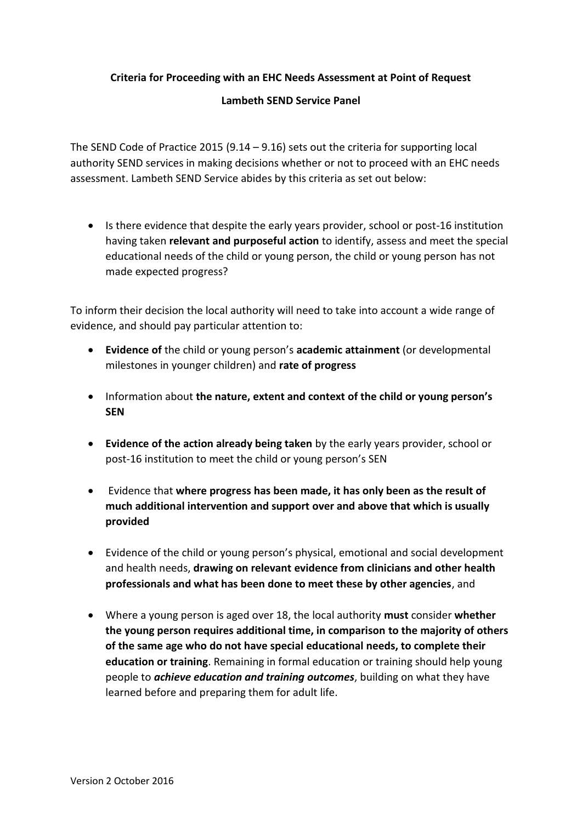**Criteria for Proceeding with an EHC Needs Assessment at Point of Request**

#### **Lambeth SEND Service Panel**

The SEND Code of Practice 2015  $(9.14 - 9.16)$  sets out the criteria for supporting local authority SEND services in making decisions whether or not to proceed with an EHC needs assessment. Lambeth SEND Service abides by this criteria as set out below:

• Is there evidence that despite the early years provider, school or post-16 institution having taken **relevant and purposeful action** to identify, assess and meet the special educational needs of the child or young person, the child or young person has not made expected progress?

To inform their decision the local authority will need to take into account a wide range of evidence, and should pay particular attention to:

- **Evidence of** the child or young person's **academic attainment** (or developmental milestones in younger children) and **rate of progress**
- Information about **the nature, extent and context of the child or young person's SEN**
- **Evidence of the action already being taken** by the early years provider, school or post-16 institution to meet the child or young person's SEN
- Evidence that **where progress has been made, it has only been as the result of much additional intervention and support over and above that which is usually provided**
- Evidence of the child or young person's physical, emotional and social development and health needs, **drawing on relevant evidence from clinicians and other health professionals and what has been done to meet these by other agencies**, and
- Where a young person is aged over 18, the local authority **must** consider **whether the young person requires additional time, in comparison to the majority of others of the same age who do not have special educational needs, to complete their education or training**. Remaining in formal education or training should help young people to *achieve education and training outcomes*, building on what they have learned before and preparing them for adult life.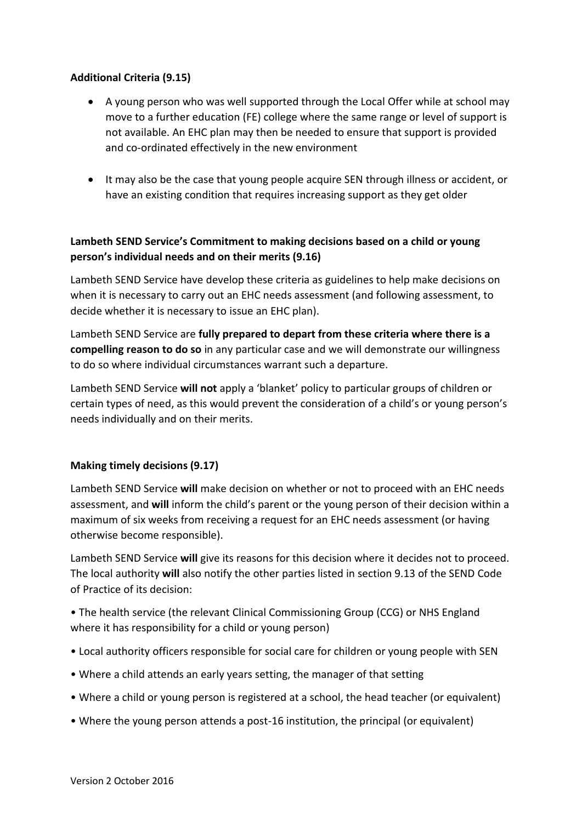## **Additional Criteria (9.15)**

- A young person who was well supported through the Local Offer while at school may move to a further education (FE) college where the same range or level of support is not available. An EHC plan may then be needed to ensure that support is provided and co-ordinated effectively in the new environment
- It may also be the case that young people acquire SEN through illness or accident, or have an existing condition that requires increasing support as they get older

# **Lambeth SEND Service's Commitment to making decisions based on a child or young person's individual needs and on their merits (9.16)**

Lambeth SEND Service have develop these criteria as guidelines to help make decisions on when it is necessary to carry out an EHC needs assessment (and following assessment, to decide whether it is necessary to issue an EHC plan).

Lambeth SEND Service are **fully prepared to depart from these criteria where there is a compelling reason to do so** in any particular case and we will demonstrate our willingness to do so where individual circumstances warrant such a departure.

Lambeth SEND Service **will not** apply a 'blanket' policy to particular groups of children or certain types of need, as this would prevent the consideration of a child's or young person's needs individually and on their merits.

## **Making timely decisions (9.17)**

Lambeth SEND Service **will** make decision on whether or not to proceed with an EHC needs assessment, and **will** inform the child's parent or the young person of their decision within a maximum of six weeks from receiving a request for an EHC needs assessment (or having otherwise become responsible).

Lambeth SEND Service **will** give its reasons for this decision where it decides not to proceed. The local authority **will** also notify the other parties listed in section 9.13 of the SEND Code of Practice of its decision:

• The health service (the relevant Clinical Commissioning Group (CCG) or NHS England where it has responsibility for a child or young person)

- Local authority officers responsible for social care for children or young people with SEN
- Where a child attends an early years setting, the manager of that setting
- Where a child or young person is registered at a school, the head teacher (or equivalent)
- Where the young person attends a post-16 institution, the principal (or equivalent)